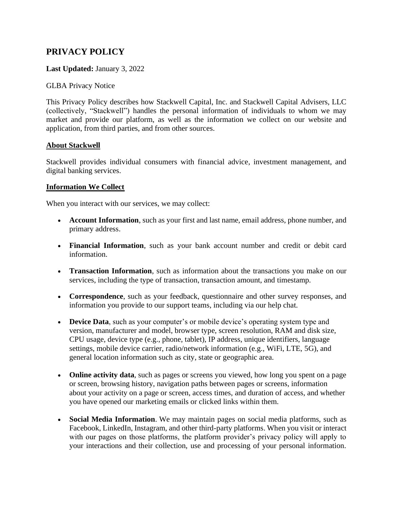# **PRIVACY POLICY**

#### **Last Updated:** January 3, 2022

GLBA Privacy Notice

This Privacy Policy describes how Stackwell Capital, Inc. and Stackwell Capital Advisers, LLC (collectively, "Stackwell") handles the personal information of individuals to whom we may market and provide our platform, as well as the information we collect on our website and application, from third parties, and from other sources.

#### **About Stackwell**

Stackwell provides individual consumers with financial advice, investment management, and digital banking services.

#### **Information We Collect**

When you interact with our services, we may collect:

- **Account Information**, such as your first and last name, email address, phone number, and primary address.
- **Financial Information**, such as your bank account number and credit or debit card information.
- **Transaction Information**, such as information about the transactions you make on our services, including the type of transaction, transaction amount, and timestamp.
- **Correspondence**, such as your feedback, questionnaire and other survey responses, and information you provide to our support teams, including via our help chat.
- **Device Data**, such as your computer's or mobile device's operating system type and version, manufacturer and model, browser type, screen resolution, RAM and disk size, CPU usage, device type (e.g., phone, tablet), IP address, unique identifiers, language settings, mobile device carrier, radio/network information (e.g., WiFi, LTE, 5G), and general location information such as city, state or geographic area.
- **Online activity data**, such as pages or screens you viewed, how long you spent on a page or screen, browsing history, navigation paths between pages or screens, information about your activity on a page or screen, access times, and duration of access, and whether you have opened our marketing emails or clicked links within them.
- **Social Media Information**. We may maintain pages on social media platforms, such as Facebook, LinkedIn, Instagram, and other third-party platforms. When you visit or interact with our pages on those platforms, the platform provider's privacy policy will apply to your interactions and their collection, use and processing of your personal information.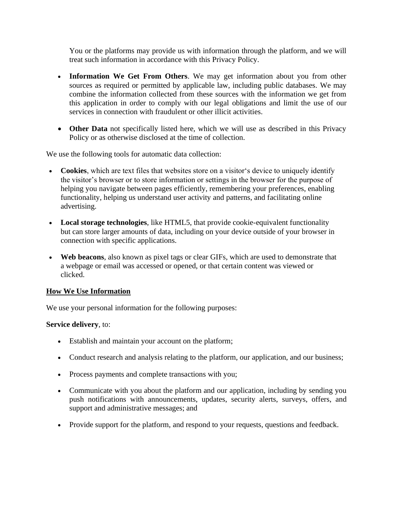You or the platforms may provide us with information through the platform, and we will treat such information in accordance with this Privacy Policy.

- **Information We Get From Others**. We may get information about you from other sources as required or permitted by applicable law, including public databases. We may combine the information collected from these sources with the information we get from this application in order to comply with our legal obligations and limit the use of our services in connection with fraudulent or other illicit activities.
- **Other Data** not specifically listed here, which we will use as described in this Privacy Policy or as otherwise disclosed at the time of collection.

We use the following tools for automatic data collection:

- **Cookies**, which are text files that websites store on a visitor's device to uniquely identify the visitor's browser or to store information or settings in the browser for the purpose of helping you navigate between pages efficiently, remembering your preferences, enabling functionality, helping us understand user activity and patterns, and facilitating online advertising.
- **Local storage technologies**, like HTML5, that provide cookie-equivalent functionality but can store larger amounts of data, including on your device outside of your browser in connection with specific applications.
- **Web beacons**, also known as pixel tags or clear GIFs, which are used to demonstrate that a webpage or email was accessed or opened, or that certain content was viewed or clicked.

# **How We Use Information**

We use your personal information for the following purposes:

#### **Service delivery**, to:

- Establish and maintain your account on the platform;
- Conduct research and analysis relating to the platform, our application, and our business;
- Process payments and complete transactions with you;
- Communicate with you about the platform and our application, including by sending you push notifications with announcements, updates, security alerts, surveys, offers, and support and administrative messages; and
- Provide support for the platform, and respond to your requests, questions and feedback.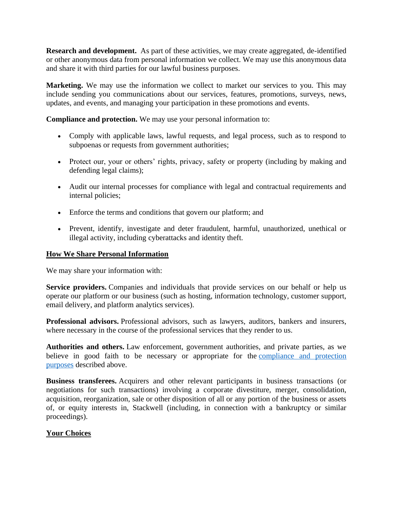**Research and development.** As part of these activities, we may create aggregated, de-identified or other anonymous data from personal information we collect. We may use this anonymous data and share it with third parties for our lawful business purposes.

**Marketing.** We may use the information we collect to market our services to you. This may include sending you communications about our services, features, promotions, surveys, news, updates, and events, and managing your participation in these promotions and events.

<span id="page-2-0"></span>**Compliance and protection.** We may use your personal information to:

- Comply with applicable laws, lawful requests, and legal process, such as to respond to subpoenas or requests from government authorities;
- Protect our, your or others' rights, privacy, safety or property (including by making and defending legal claims);
- Audit our internal processes for compliance with legal and contractual requirements and internal policies;
- Enforce the terms and conditions that govern our platform; and
- Prevent, identify, investigate and deter fraudulent, harmful, unauthorized, unethical or illegal activity, including cyberattacks and identity theft.

#### **How We Share Personal Information**

We may share your information with:

**Service providers.** Companies and individuals that provide services on our behalf or help us operate our platform or our business (such as hosting, information technology, customer support, email delivery, and platform analytics services).

**Professional advisors.** Professional advisors, such as lawyers, auditors, bankers and insurers, where necessary in the course of the professional services that they render to us.

**Authorities and others.** Law enforcement, government authorities, and private parties, as we believe in good faith to be necessary or appropriate for the compliance and protection [purposes](#page-2-0) described above.

**Business transferees.** Acquirers and other relevant participants in business transactions (or negotiations for such transactions) involving a corporate divestiture, merger, consolidation, acquisition, reorganization, sale or other disposition of all or any portion of the business or assets of, or equity interests in, Stackwell (including, in connection with a bankruptcy or similar proceedings).

# **Your Choices**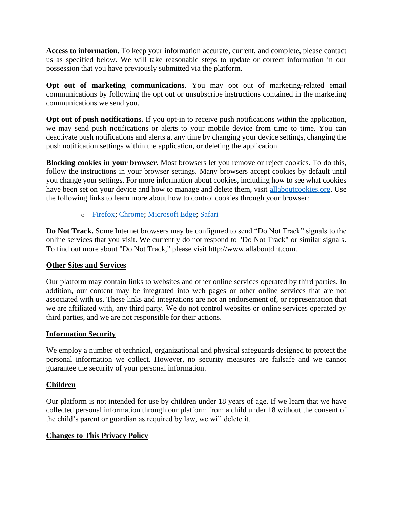**Access to information.** To keep your information accurate, current, and complete, please contact us as specified below. We will take reasonable steps to update or correct information in our possession that you have previously submitted via the platform.

**Opt out of marketing communications**. You may opt out of marketing-related email communications by following the opt out or unsubscribe instructions contained in the marketing communications we send you.

**Opt out of push notifications.** If you opt-in to receive push notifications within the application, we may send push notifications or alerts to your mobile device from time to time. You can deactivate push notifications and alerts at any time by changing your device settings, changing the push notification settings within the application, or deleting the application.

**Blocking cookies in your browser.** Most browsers let you remove or reject cookies. To do this, follow the instructions in your browser settings. Many browsers accept cookies by default until you change your settings. For more information about cookies, including how to see what cookies have been set on your device and how to manage and delete them, visit [allaboutcookies.org.](https://www.allaboutcookies.org/) Use the following links to learn more about how to control cookies through your browser:

# o [Firefox;](https://support.mozilla.org/en-US/kb/enhanced-tracking-protection-firefox-desktop) [Chrome;](https://support.google.com/chrome/answer/95647) [Microsoft Edge;](https://support.microsoft.com/en-us/microsoft-edge/learn-about-tracking-prevention-in-microsoft-edge-5ac125e8-9b90-8d59-fa2c-7f2e9a44d869) [Safari](https://support.apple.com/guide/safari/manage-cookies-and-website-data-sfri11471/mac)

**Do Not Track.** Some Internet browsers may be configured to send "Do Not Track" signals to the online services that you visit. We currently do not respond to "Do Not Track" or similar signals. To find out more about "Do Not Track," please visit http://www.allaboutdnt.com.

# **Other Sites and Services**

Our platform may contain links to websites and other online services operated by third parties. In addition, our content may be integrated into web pages or other online services that are not associated with us. These links and integrations are not an endorsement of, or representation that we are affiliated with, any third party. We do not control websites or online services operated by third parties, and we are not responsible for their actions.

# **Information Security**

We employ a number of technical, organizational and physical safeguards designed to protect the personal information we collect. However, no security measures are failsafe and we cannot guarantee the security of your personal information.

# **Children**

Our platform is not intended for use by children under 18 years of age. If we learn that we have collected personal information through our platform from a child under 18 without the consent of the child's parent or guardian as required by law, we will delete it.

# **Changes to This Privacy Policy**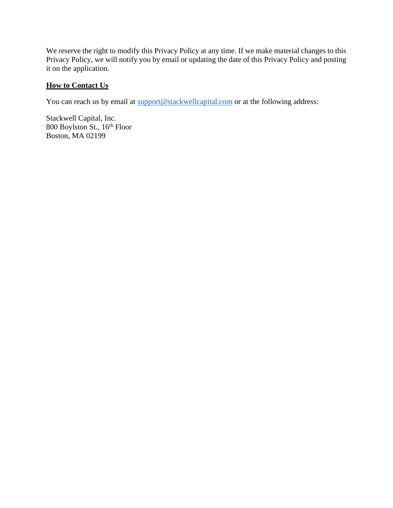We reserve the right to modify this Privacy Policy at any time. If we make material changes to this Privacy Policy, we will notify you by email or updating the date of this Privacy Policy and posting it on the application.

#### **How to Contact Us**

You can reach us by email at [support@stackwellcapital.com](mailto:support@stackwellcapital.com) or at the following address:

Stackwell Capital, Inc. 800 Boylston St., 16th Floor Boston, MA 02199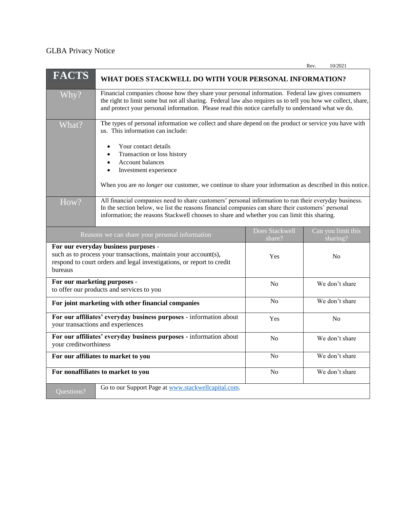#### GLBA Privacy Notice

**FACTS WHAT DOES STACKWELL DO WITH YOUR PERSONAL INFORMATION?** Why? Financial companies choose how they share your personal information. Federal law gives consumers the right to limit some but not all sharing. Federal law also requires us to tell you how we collect, share, and protect your personal information. Please read this notice carefully to understand what we do. What? The types of personal information we collect and share depend on the product or service you have with us. This information can include: • Your contact details • Transaction or loss history • Account balances • Investment experience When you are *no longer* our customer, we continue to share your information as described in this notice. How? All financial companies need to share customers' personal information to run their everyday business. In the section below, we list the reasons financial companies can share their customers' personal information; the reasons Stackwell chooses to share and whether you can limit this sharing. Reasons we can share your personal information Does Stackwell share? Can you limit this sharing? **For our everyday business purposes**  such as to process your transactions, maintain your account(s), respond to court orders and legal investigations, or report to credit bureaus Yes No **For our marketing purposes**  to offer our products and services to you No We don't share **For joint marketing with other financial companies** No No We don't share **For our affiliates' everyday business purposes** - information about your transactions and experiences Yes No **For our affiliates' everyday business purposes -** information about your creditworthiness No We don't share **For our affiliates to market to you** No No We don't share **For nonaffiliates to market to you** No No We don't share Questions? Go to our Support Page at [www.stackwellcapital.com.](http://www.stackwellcapital.com/)

Rev. 10/2021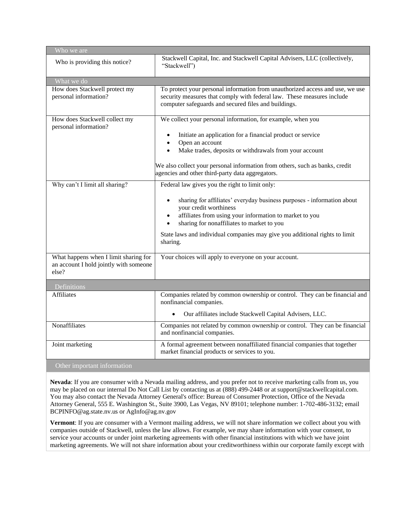| Who we are                                                                               |                                                                                                                                                                                                                                                                                                                                                                                   |
|------------------------------------------------------------------------------------------|-----------------------------------------------------------------------------------------------------------------------------------------------------------------------------------------------------------------------------------------------------------------------------------------------------------------------------------------------------------------------------------|
| Who is providing this notice?                                                            | Stackwell Capital, Inc. and Stackwell Capital Advisers, LLC (collectively,<br>"Stackwell")                                                                                                                                                                                                                                                                                        |
| What we do                                                                               |                                                                                                                                                                                                                                                                                                                                                                                   |
| How does Stackwell protect my<br>personal information?                                   | To protect your personal information from unauthorized access and use, we use<br>security measures that comply with federal law. These measures include<br>computer safeguards and secured files and buildings.                                                                                                                                                                   |
| How does Stackwell collect my<br>personal information?                                   | We collect your personal information, for example, when you<br>Initiate an application for a financial product or service<br>$\bullet$<br>Open an account<br>$\bullet$<br>Make trades, deposits or withdrawals from your account<br>$\bullet$<br>We also collect your personal information from others, such as banks, credit<br>agencies and other third-party data aggregators. |
| Why can't I limit all sharing?                                                           | Federal law gives you the right to limit only:<br>sharing for affiliates' everyday business purposes - information about<br>$\bullet$<br>your credit worthiness<br>affiliates from using your information to market to you<br>$\bullet$<br>sharing for nonaffiliates to market to you<br>State laws and individual companies may give you additional rights to limit<br>sharing.  |
| What happens when I limit sharing for<br>an account I hold jointly with someone<br>else? | Your choices will apply to everyone on your account.                                                                                                                                                                                                                                                                                                                              |
| Definitions                                                                              |                                                                                                                                                                                                                                                                                                                                                                                   |
| Affiliates                                                                               | Companies related by common ownership or control. They can be financial and<br>nonfinancial companies.<br>Our affiliates include Stackwell Capital Advisers, LLC.                                                                                                                                                                                                                 |
| Nonaffiliates                                                                            | Companies not related by common ownership or control. They can be financial<br>and nonfinancial companies.                                                                                                                                                                                                                                                                        |
| Joint marketing                                                                          | A formal agreement between nonaffiliated financial companies that together<br>market financial products or services to you.                                                                                                                                                                                                                                                       |
| Other important information                                                              |                                                                                                                                                                                                                                                                                                                                                                                   |

**Nevada**: If you are consumer with a Nevada mailing address, and you prefer not to receive marketing calls from us, you may be placed on our internal Do Not Call List by contacting us at (888) 499-2448 or at support@stackwellcapital.com. You may also contact the Nevada Attorney General's office: Bureau of Consumer Protection, Office of the Nevada Attorney General, 555 E. Washington St., Suite 3900, Las Vegas, NV 89101; telephone number: 1-702-486-3132; email BCPINFO@ag.state.nv.us or AgInfo@ag.nv.gov

**Vermont**: If you are consumer with a Vermont mailing address, we will not share information we collect about you with companies outside of Stackwell, unless the law allows. For example, we may share information with your consent, to service your accounts or under joint marketing agreements with other financial institutions with which we have joint marketing agreements. We will not share information about your creditworthiness within our corporate family except with